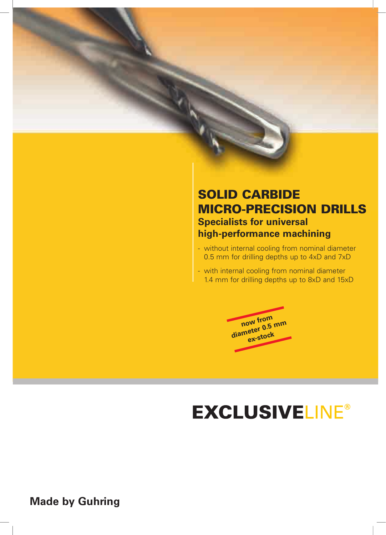## **SOLID CARBIDE** MiCro-preCiSion drillS **Specialists for universal high-performance machining**

- without internal cooling from nominal diameter 0.5 mm for drilling depths up to 4xD and 7xD
- with internal cooling from nominal diameter 1.4 mm for drilling depths up to 8xD and 15xD



# **EXCLUSIVELINE®**

**Made by Guhring**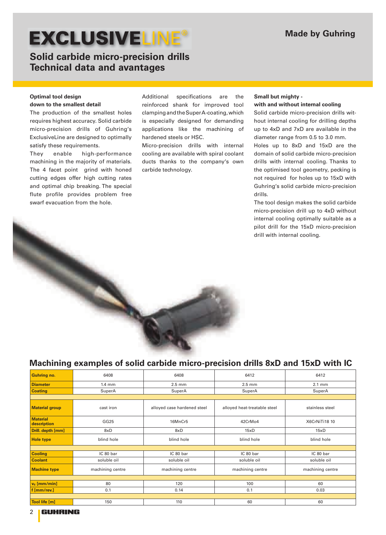## **Solid carbide micro-precision drills Technical data and avantages**

### **Optimal tool design**

### **down to the smallest detail**

The production of the smallest holes requires highest accuracy. Solid carbide micro-precision drills of Guhring's ExclusiveLine are designed to optimally satisfy these requirements.

They enable high-performance machining in the majority of materials. The 4 facet point grind with honed cutting edges offer high cutting rates and optimal chip breaking. The special flute profile provides problem free swarf evacuation from the hole.

Additional specifications are the reinforced shank for improved tool clamping and the Super A-coating, which is especially designed for demanding applications like the machining of hardened steels or HSC.

Micro-precision drills with internal cooling are available with spiral coolant ducts thanks to the company's own carbide technology.

### **Small but mighty -**

### **with and without internal cooling**

Solid carbide micro-precision drills without internal cooling for drilling depths up to 4xD and 7xD are available in the diameter range from 0.5 to 3.0 mm.

Holes up to 8xD and 15xD are the domain of solid carbide micro-precision drills with internal cooling. Thanks to the optimised tool geometry, pecking is not required for holes up to 15xD with Guhring's solid carbide micro-precision drills.

The tool design makes the solid carbide micro-precision drill up to 4xD without internal cooling optimally suitable as a pilot drill for the 15xD micro-precision drill with internal cooling.

# **Machining examples of solid carbide micro-precision drills 8xD and 15xD with IC**

| <b>Guhring no.</b>             | 6408             | 6408<br>6412                 |                              | 6412             |  |  |
|--------------------------------|------------------|------------------------------|------------------------------|------------------|--|--|
| <b>Diameter</b>                | $1.4 \text{ mm}$ | $2.5 \text{ mm}$<br>$2.5$ mm |                              | $2.1 \text{ mm}$ |  |  |
| <b>Coating</b>                 | SuperA           | SuperA                       | SuperA                       | SuperA           |  |  |
|                                |                  |                              |                              |                  |  |  |
| <b>Material group</b>          | cast iron        | alloyed case hardened steel  | alloyed heat-treatable steel | stainless steel  |  |  |
| <b>Material</b><br>description | GG25             | 16MnCr5                      | 42CrMo4                      | X6CrNiTi18 10    |  |  |
| Drill. depth [mm]              | 8xD              | 8xD<br>15xD                  |                              | 15xD             |  |  |
| <b>Hole type</b>               | blind hole       | blind hole                   | blind hole                   | blind hole       |  |  |
|                                |                  |                              |                              |                  |  |  |
| <b>Cooling</b>                 | IC 80 bar        | IC 80 bar                    | IC 80 bar                    | IC 80 bar        |  |  |
| <b>Coolant</b>                 | soluble oil      | soluble oil                  | soluble oil                  | soluble oil      |  |  |
| <b>Machine type</b>            | machining centre | machining centre             | machining centre             |                  |  |  |
|                                |                  |                              |                              |                  |  |  |
| $v_c$ [mm/min]                 | 80               | 120                          | 100                          | 60               |  |  |
| f [mm/rev.]                    | 0.1              | 0.14                         | 0.1                          | 0.03             |  |  |
|                                |                  |                              |                              |                  |  |  |
| Tool life [m]                  | 150              | 110                          | 60<br>60                     |                  |  |  |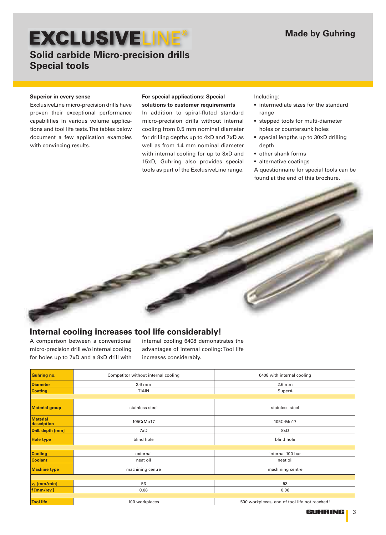## **EXCLUSIVELINE Solid carbide Micro-precision drills**

**Special tools**

### **Superior in every sense**

ExclusiveLine micro-precision drills have proven their exceptional performance capabilities in various volume applications and tool life tests. The tables below document a few application examples with convincing results.

### **For special applications: Special solutions to customer requirements**

In addition to spiral-fluted standard micro-precision drills without internal cooling from 0.5 mm nominal diameter for drilling depths up to 4xD and 7xD as well as from 1.4 mm nominal diameter with internal cooling for up to 8xD and 15xD, Guhring also provides special tools as part of the ExclusiveLine range.

Including:

- intermediate sizes for the standard range
- stepped tools for multi-diameter holes or countersunk holes
- special lengths up to 30xD drilling depth
- other shank forms
- alternative coatings

A questionnaire for special tools can be found at the end of this brochure.

### **Internal cooling increases tool life considerably!**

A comparison between a conventional micro-precision drill w/o internal cooling for holes up to 7xD and a 8xD drill with

internal cooling 6408 demonstrates the advantages of internal cooling: Tool life increases considerably.

| <b>Guhring no.</b>             | Competitor without internal cooling | 6408 with internal cooling                    |  |  |  |
|--------------------------------|-------------------------------------|-----------------------------------------------|--|--|--|
| <b>Diameter</b>                | $2.6$ mm                            | $2.6$ mm                                      |  |  |  |
| <b>Coating</b>                 | <b>TiAIN</b>                        | SuperA                                        |  |  |  |
|                                |                                     |                                               |  |  |  |
| <b>Material group</b>          | stainless steel                     | stainless steel                               |  |  |  |
| <b>Material</b><br>description | 105CrMo17                           | 105CrMo17                                     |  |  |  |
| Drill. depth [mm]              | 7xD                                 | 8xD                                           |  |  |  |
| <b>Hole type</b>               | blind hole                          | blind hole                                    |  |  |  |
|                                |                                     |                                               |  |  |  |
| <b>Cooling</b>                 | external                            | internal 100 bar                              |  |  |  |
| <b>Coolant</b>                 | neat oil                            | neat oil                                      |  |  |  |
| <b>Machine type</b>            | machining centre                    | machining centre                              |  |  |  |
|                                |                                     |                                               |  |  |  |
| $v_c$ [mm/min]                 | 53                                  | 53                                            |  |  |  |
| f [mm/rev.]                    | 0.08                                | 0.06                                          |  |  |  |
|                                |                                     |                                               |  |  |  |
| <b>Tool life</b>               | 100 workpieces                      | 500 workpieces, end of tool life not reached! |  |  |  |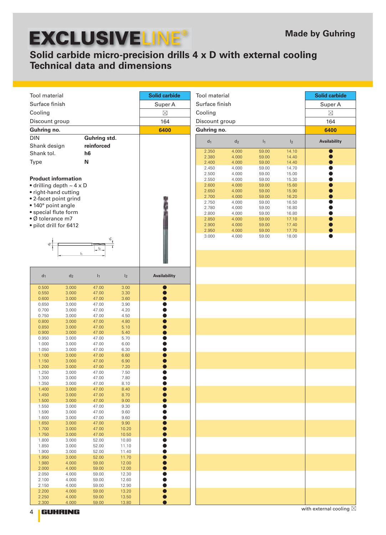## **Solid carbide micro-precision drills 4 x D with external cooling Technical data and dimensions**

| <b>Tool</b> material                                                |                |                |                | <b>Solid carbide</b> | Tool material  |                |                |                | <b>Solid carbide</b> |
|---------------------------------------------------------------------|----------------|----------------|----------------|----------------------|----------------|----------------|----------------|----------------|----------------------|
| Surface finish                                                      |                |                |                | Super A              | Surface finish |                |                |                | Super A              |
| Cooling                                                             |                |                |                | $\boxtimes$          | Cooling        |                |                |                | $\boxtimes$          |
| Discount group                                                      |                |                |                | 164                  | Discount group |                |                |                | 164                  |
| Guhring no.                                                         |                |                |                | 6400                 | Guhring no.    |                |                |                | 6400                 |
| <b>DIN</b>                                                          |                | Guhring std.   |                |                      |                |                |                |                |                      |
| Shank design                                                        |                | reinforced     |                |                      | $d_1$          | d <sub>2</sub> | 1 <sub>1</sub> | I <sub>2</sub> | Availability         |
| Shank tol.                                                          |                | h <sub>6</sub> |                |                      | 2.350          | 4.000          | 59.00          | 14.10          | $\bullet$            |
| Type                                                                |                | N              |                |                      | 2.380<br>2.400 | 4.000<br>4.000 | 59.00<br>59.00 | 14.40<br>14.40 |                      |
|                                                                     |                |                |                |                      | 2.450          | 4.000          | 59.00          | 14.70          |                      |
|                                                                     |                |                |                |                      | 2.500          | 4.000          | 59.00          | 15.00          |                      |
| <b>Product information</b><br>$\bullet$ drilling depth $\sim$ 4 x D |                |                |                |                      | 2.550<br>2.600 | 4.000<br>4.000 | 59.00<br>59.00 | 15.30<br>15.60 |                      |
| • right-hand cutting                                                |                |                |                |                      | 2.650          | 4.000          | 59.00          | 15.90          |                      |
| • 2-facet point grind                                               |                |                |                |                      | 2.700          | 4.000          | 59.00          | 16.20          |                      |
| • 140° point angle                                                  |                |                |                |                      | 2.750<br>2.780 | 4.000<br>4.000 | 59.00<br>59.00 | 16.50<br>16.80 |                      |
| • special flute form                                                |                |                |                |                      | 2.800          | 4.000          | 59.00          | 16.80          |                      |
| • Ø tolerance m7                                                    |                |                |                |                      | 2.850          | 4.000          | 59.00          | 17.10          |                      |
| · pilot drill for 6412                                              |                |                |                |                      | 2.900<br>2.950 | 4.000<br>4.000 | 59.00<br>59.00 | 17.40<br>17.70 |                      |
|                                                                     |                |                |                |                      | 3.000          | 4.000          | 59.00          | 18.00          |                      |
| ಕೆ                                                                  |                |                |                |                      |                |                |                |                |                      |
|                                                                     | $\mathsf{I}_1$ | l <sub>2</sub> |                |                      |                |                |                |                |                      |
|                                                                     |                |                |                |                      |                |                |                |                |                      |
|                                                                     |                |                |                |                      |                |                |                |                |                      |
| $d_1$                                                               | $\mathsf{d}_2$ | $I_1$          | I <sub>2</sub> | Availability         |                |                |                |                |                      |
| 0.500<br>0.550                                                      | 3.000<br>3.000 | 47.00<br>47.00 | 3.00<br>3.30   |                      |                |                |                |                |                      |
| 0.600                                                               | 3.000          | 47.00          | 3.60           |                      |                |                |                |                |                      |
| 0.650                                                               | 3.000          | 47.00          | 3.90           |                      |                |                |                |                |                      |
| 0.700<br>0.750                                                      | 3.000<br>3.000 | 47.00<br>47.00 | 4.20<br>4.50   |                      |                |                |                |                |                      |
| 0.800                                                               | 3.000          | 47.00          | 4.80           |                      |                |                |                |                |                      |
| 0.850                                                               | 3.000          | 47.00          | 5.10           |                      |                |                |                |                |                      |
| 0.900<br>0.950                                                      | 3.000<br>3.000 | 47.00<br>47.00 | 5.40<br>5.70   |                      |                |                |                |                |                      |
| 1.000                                                               | 3.000          | 47.00          | 6.00           |                      |                |                |                |                |                      |
| 1.050                                                               | 3.000          | 47.00          | 6.30           |                      |                |                |                |                |                      |
| 1.100<br>1.150                                                      | 3.000<br>3.000 | 47.00<br>47.00 | 6.60<br>6.90   |                      |                |                |                |                |                      |
| 1.200                                                               | 3.000          | 47.00          | 7.20           |                      |                |                |                |                |                      |
| 1.250                                                               | 3.000          | 47.00          | 7.50           |                      |                |                |                |                |                      |
| 1.300<br>1.350                                                      | 3.000<br>3.000 | 47.00<br>47.00 | 7.80<br>8.10   |                      |                |                |                |                |                      |
| 1.400                                                               | 3.000          | 47.00          | 8.40           |                      |                |                |                |                |                      |
| 1.450                                                               | 3.000          | 47.00          | 8.70           |                      |                |                |                |                |                      |
| 1.500<br>1.550                                                      | 3.000<br>3.000 | 47.00<br>47.00 | 9.00<br>9.30   |                      |                |                |                |                |                      |
| 1.590                                                               | 3.000          | 47.00          | 9.60           |                      |                |                |                |                |                      |
| 1.600<br>1.650                                                      | 3.000<br>3.000 | 47.00<br>47.00 | 9.60<br>9.90   |                      |                |                |                |                |                      |
| 1.700                                                               | 3.000          | 47.00          | 10.20          |                      |                |                |                |                |                      |
| 1.750                                                               | 3.000          | 47.00          | 10.50          |                      |                |                |                |                |                      |
| 1.800<br>1.850                                                      | 3.000<br>3.000 | 52.00<br>52.00 | 10.80<br>11.10 |                      |                |                |                |                |                      |
| 1.900                                                               | 3.000          | 52.00          | 11.40          |                      |                |                |                |                |                      |
| 1.950                                                               | 3.000          | 52.00          | 11.70          |                      |                |                |                |                |                      |
| 1.980<br>2.000                                                      | 4.000<br>4.000 | 59.00<br>59.00 | 12.00<br>12.00 |                      |                |                |                |                |                      |
| 2.050                                                               | 4.000          | 59.00          | 12.30          |                      |                |                |                |                |                      |
| 2.100                                                               | 4.000          | 59.00          | 12.60          |                      |                |                |                |                |                      |
| 2.150<br>2.200                                                      | 4.000<br>4.000 | 59.00<br>59.00 | 12.90<br>13.20 |                      |                |                |                |                |                      |
| 2.250                                                               | 4.000          | 59.00          | 13.50          |                      |                |                |                |                |                      |
| 2.300                                                               | 4.000          | 59.00          | 13.80          |                      |                |                |                |                |                      |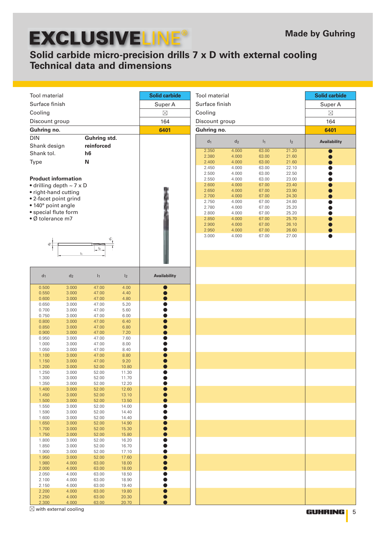## **Solid carbide micro-precision drills 7 x D with external cooling Technical data and dimensions**

|                                               |                |                |                | <b>Solid carbide</b>      | Tool material  |                |                |                | <b>Solid carbide</b> |
|-----------------------------------------------|----------------|----------------|----------------|---------------------------|----------------|----------------|----------------|----------------|----------------------|
| Tool material<br>Surface finish               |                |                |                |                           |                |                |                |                |                      |
|                                               |                |                |                | Surface finish<br>Super A |                |                |                |                | Super A              |
| Cooling                                       |                |                |                | $\boxtimes$               | Cooling        |                |                |                | $\boxtimes$          |
| Discount group                                |                |                |                | 164                       | Discount group |                |                |                | 164                  |
| Guhring no.                                   |                |                |                | 6401                      | Guhring no.    |                | 6401           |                |                      |
| <b>DIN</b>                                    |                | Guhring std.   |                |                           | d <sub>1</sub> | d <sub>2</sub> | $ _1$          | I <sub>2</sub> | Availability         |
| Shank design                                  |                | reinforced     |                |                           | 2.350          | 4.000          | 63.00          | 21.20          |                      |
| Shank tol.                                    |                | h <sub>6</sub> |                |                           | 2.380          | 4.000          | 63.00          | 21.60          |                      |
| Type                                          |                | N              |                |                           | 2.400<br>2.450 | 4.000<br>4.000 | 63.00<br>63.00 | 21.60<br>22.10 |                      |
|                                               |                |                |                |                           | 2.500          | 4.000          | 63.00          | 22.50          |                      |
| <b>Product information</b>                    |                |                |                |                           | 2.550          | 4.000          | 63.00          | 23.00          |                      |
| $\bullet$ drilling depth $\sim$ 7 x D         |                |                |                |                           | 2.600<br>2.650 | 4.000<br>4.000 | 67.00<br>67.00 | 23.40<br>23.90 |                      |
| • right-hand cutting<br>• 2-facet point grind |                |                |                |                           | 2.700          | 4.000          | 67.00          | 24.30          |                      |
| · 140° point angle                            |                |                |                |                           | 2.750          | 4.000<br>4.000 | 67.00          | 24.80          |                      |
| • special flute form                          |                |                |                |                           | 2.780<br>2.800 | 4.000          | 67.00<br>67.00 | 25.20<br>25.20 |                      |
| · Ø tolerance m7                              |                |                |                |                           | 2.850          | 4.000          | 67.00          | 25.70          |                      |
|                                               |                |                |                |                           | 2.900<br>2.950 | 4.000<br>4.000 | 67.00<br>67.00 | 26.10<br>26.60 |                      |
|                                               |                |                |                |                           | 3.000          | 4.000          | 67.00          | 27.00          |                      |
| ď.                                            |                |                |                |                           |                |                |                |                |                      |
|                                               | Ŀ,             | I <sub>2</sub> |                |                           |                |                |                |                |                      |
|                                               |                |                |                |                           |                |                |                |                |                      |
|                                               |                |                |                |                           |                |                |                |                |                      |
| $d_1$                                         | $\mathsf{d}_2$ | I <sub>1</sub> | I <sub>2</sub> | Availability              |                |                |                |                |                      |
| 0.500<br>0.550                                | 3.000<br>3.000 | 47.00<br>47.00 | 4.00<br>4.40   |                           |                |                |                |                |                      |
| 0.600                                         | 3.000          | 47.00          | 4.80           |                           |                |                |                |                |                      |
| 0.650                                         | 3.000          | 47.00          | 5.20           |                           |                |                |                |                |                      |
| 0.700<br>0.750                                | 3.000<br>3.000 | 47.00<br>47.00 | 5.60<br>6.00   |                           |                |                |                |                |                      |
| 0.800                                         | 3.000          | 47.00          | 6.40           |                           |                |                |                |                |                      |
| 0.850                                         | 3.000          | 47.00          | 6.80           |                           |                |                |                |                |                      |
| 0.900<br>0.950                                | 3.000<br>3.000 | 47.00<br>47.00 | 7.20<br>7.60   |                           |                |                |                |                |                      |
| 1.000                                         | 3.000          | 47.00          | 8.00           |                           |                |                |                |                |                      |
| 1.050                                         | 3.000          | 47.00          | 8.40           |                           |                |                |                |                |                      |
| 1.100<br>1.150                                | 3.000<br>3.000 | 47.00<br>47.00 | 8.80<br>9.20   |                           |                |                |                |                |                      |
| 1.200                                         | 3.000          | 52.00          | 10.80          |                           |                |                |                |                |                      |
| 1.250                                         | 3.000          | 52.00          | 11.30          |                           |                |                |                |                |                      |
| 1.300<br>1.350                                | 3.000<br>3.000 | 52.00<br>52.00 | 11.70<br>12.20 |                           |                |                |                |                |                      |
| 1.400                                         | 3.000          | 52.00          | 12.60          |                           |                |                |                |                |                      |
| 1.450<br>1.500                                | 3.000<br>3.000 | 52.00<br>52.00 | 13.10<br>13.50 |                           |                |                |                |                |                      |
| 1.550                                         | 3.000          | 52.00          | 14.00          |                           |                |                |                |                |                      |
| 1.590                                         | 3.000          | 52.00          | 14.40          |                           |                |                |                |                |                      |
| 1.600<br>1.650                                | 3.000<br>3.000 | 52.00<br>52.00 | 14.40<br>14.90 |                           |                |                |                |                |                      |
| 1.700                                         | 3.000          | 52.00          | 15.30          |                           |                |                |                |                |                      |
| 1.750                                         | 3.000          | 52.00          | 15.80          |                           |                |                |                |                |                      |
| 1.800<br>1.850                                | 3.000<br>3.000 | 52.00<br>52.00 | 16.20<br>16.70 |                           |                |                |                |                |                      |
| 1.900                                         | 3.000          | 52.00          | 17.10          |                           |                |                |                |                |                      |
| 1.950                                         | 3.000          | 52.00          | 17.60          |                           |                |                |                |                |                      |
| 1.980<br>2.000                                | 4.000<br>4.000 | 63.00<br>63.00 | 18.00<br>18.00 |                           |                |                |                |                |                      |
| 2.050                                         | 4.000          | 63.00          | 18.50          |                           |                |                |                |                |                      |
| 2.100                                         | 4.000          | 63.00          | 18.90          |                           |                |                |                |                |                      |
| 2.150<br>2.200                                | 4.000<br>4.000 | 63.00<br>63.00 | 19.40<br>19.80 |                           |                |                |                |                |                      |
| 2.250                                         | 4.000          | 63.00          | 20.30          |                           |                |                |                |                |                      |
| 2.300                                         | 4.000          | 63.00          | 20.70          |                           |                |                |                |                |                      |

 $\boxtimes$  with external cooling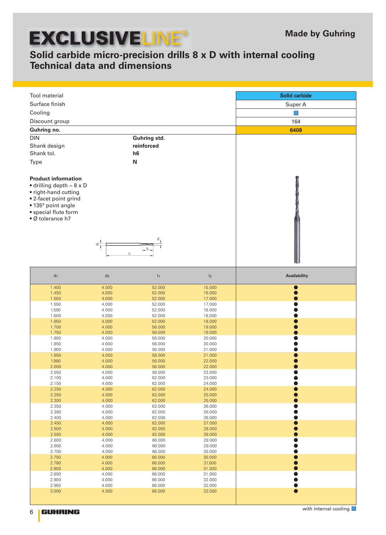6

**GUHRING** 

## **Solid carbide micro-precision drills 8 x D with internal cooling Technical data and dimensions**

| Tool material                                                                                                                                                                          |                |                      |                  | <b>Solid carbide</b>         |
|----------------------------------------------------------------------------------------------------------------------------------------------------------------------------------------|----------------|----------------------|------------------|------------------------------|
| Surface finish                                                                                                                                                                         |                |                      |                  | Super A                      |
|                                                                                                                                                                                        |                |                      |                  |                              |
| Cooling                                                                                                                                                                                |                |                      |                  | - 1                          |
| Discount group                                                                                                                                                                         |                |                      |                  | 164                          |
| Guhring no.                                                                                                                                                                            |                |                      |                  | 6408                         |
| <b>DIN</b>                                                                                                                                                                             |                | Guhring std.         |                  |                              |
| Shank design                                                                                                                                                                           |                | reinforced           |                  |                              |
| Shank tol.                                                                                                                                                                             |                | h6                   |                  |                              |
| Type                                                                                                                                                                                   |                | N                    |                  |                              |
|                                                                                                                                                                                        |                |                      |                  |                              |
| <b>Product information</b><br>$\bullet$ drilling depth $\sim$ 8 x D<br>• right-hand cutting<br>• 2-facet point grind<br>· 135° point angle<br>• special flute form<br>• Ø tolerance h7 | $\mathsf d^2$  | စ်<br>I <sub>2</sub> |                  |                              |
| $d_1$                                                                                                                                                                                  | $\mathsf{d}_2$ | I <sub>1</sub>       | I <sub>2</sub>   | Availability                 |
| 1.400                                                                                                                                                                                  | 4.000          | 52.000               | 15.000           |                              |
| 1.450                                                                                                                                                                                  | 4.000<br>4.000 | 52.000<br>52.000     | 16.000           |                              |
| 1.500<br>1.550                                                                                                                                                                         | 4.000          | 52.000               | 17.000<br>17.000 |                              |
| 1.590                                                                                                                                                                                  | 4.000          | 52.000               | 18.000           |                              |
| 1.600                                                                                                                                                                                  | 4.000          | 52.000               | 18.000           |                              |
| 1.650                                                                                                                                                                                  | 4.000          | 52.000               | 18.000           |                              |
| 1.700                                                                                                                                                                                  | 4.000          | 56.000               | 19.000           |                              |
| 1.750                                                                                                                                                                                  | 4.000          | 56.000               | 19.000           |                              |
| 1.800                                                                                                                                                                                  | 4.000          | 56.000               | 20.000           |                              |
| 1.850                                                                                                                                                                                  | 4.000          | 56.000<br>56.000     | 20.000           |                              |
| 1.900<br>1.950                                                                                                                                                                         | 4.000<br>4.000 | 56.000               | 21.000<br>21.000 |                              |
| 1.980                                                                                                                                                                                  | 4.000          | 56.000               | 22.000           |                              |
| 2.000                                                                                                                                                                                  | 4.000          | 56.000               | 22.000           |                              |
| 2.050                                                                                                                                                                                  | 4.000          | 56.000               | 23.000           |                              |
| 2.100                                                                                                                                                                                  | 4.000          | 62.000               | 23.000           |                              |
| 2.150                                                                                                                                                                                  | 4.000          | 62.000               | 24.000           |                              |
| 2.200                                                                                                                                                                                  | 4.000          | 62.000               | 24.000           |                              |
| 2.250<br>2.300                                                                                                                                                                         | 4.000<br>4.000 | 62.000<br>62.000     | 25.000<br>25.000 |                              |
| 2.350                                                                                                                                                                                  | 4.000          | 62.000               | 26.000           |                              |
| 2.380                                                                                                                                                                                  | 4.000          | 62.000               | 26.000           |                              |
| 2.400                                                                                                                                                                                  | 4.000          | 62.000               | 26.000           |                              |
| 2.450                                                                                                                                                                                  | 4.000          | 62.000               | 27.000           |                              |
| 2.500                                                                                                                                                                                  | 4.000          | 62.000               | 28.000           |                              |
| 2.550                                                                                                                                                                                  | 4.000          | 62.000               | 28.000           |                              |
| 2.600<br>2.650                                                                                                                                                                         | 4.000<br>4.000 | 66.000<br>66.000     | 29.000<br>29.000 |                              |
| 2.700                                                                                                                                                                                  | 4.000          | 66.000               | 30.000           |                              |
| 2.750                                                                                                                                                                                  | 4.000          | 66.000               | 30.000           |                              |
| 2.780                                                                                                                                                                                  | 4.000          | 66.000               | 31.000           |                              |
| 2.800                                                                                                                                                                                  | 4.000          | 66.000               | 31.000           |                              |
| 2.850                                                                                                                                                                                  | 4.000          | 66.000               | 31.000           |                              |
| 2.900                                                                                                                                                                                  | 4.000          | 66.000               | 32.000           |                              |
| 2.950<br>3.000                                                                                                                                                                         | 4.000<br>4.000 | 66.000<br>66.000     | 32.000<br>33.000 | $\bullet$                    |
|                                                                                                                                                                                        |                |                      |                  |                              |
|                                                                                                                                                                                        |                |                      |                  | with internal cooling $\Box$ |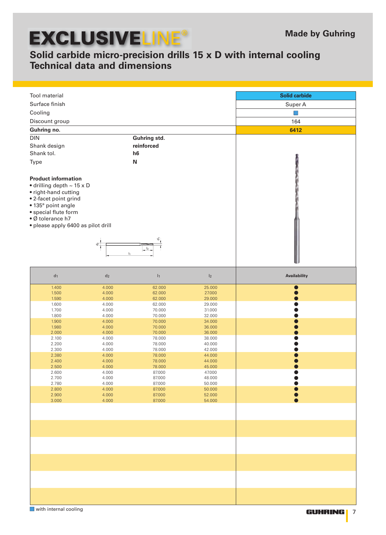## **Solid carbide micro-precision drills 15 x D with internal cooling Technical data and dimensions**

| Tool material                                                                                                                                                                                                                 |                |                  |                  | <b>Solid carbide</b> |
|-------------------------------------------------------------------------------------------------------------------------------------------------------------------------------------------------------------------------------|----------------|------------------|------------------|----------------------|
| Surface finish                                                                                                                                                                                                                |                |                  |                  | Super A              |
| Cooling                                                                                                                                                                                                                       |                |                  |                  | F.                   |
| Discount group                                                                                                                                                                                                                |                |                  |                  | 164                  |
|                                                                                                                                                                                                                               |                |                  |                  |                      |
| Guhring no.                                                                                                                                                                                                                   |                |                  |                  | 6412                 |
| <b>DIN</b>                                                                                                                                                                                                                    |                | Guhring std.     |                  |                      |
| Shank design                                                                                                                                                                                                                  |                | reinforced       |                  |                      |
| Shank tol.                                                                                                                                                                                                                    |                | h6               |                  |                      |
| Type                                                                                                                                                                                                                          |                | $\mathbf N$      |                  |                      |
|                                                                                                                                                                                                                               |                |                  |                  |                      |
| <b>Product information</b><br>$\bullet$ drilling depth $\sim$ 15 x D<br>• right-hand cutting<br>• 2-facet point grind<br>· 135° point angle<br>• special flute form<br>• Ø tolerance h7<br>· please apply 6400 as pilot drill | $\sigma$       | I <sub>2</sub>   |                  |                      |
| $d_1$                                                                                                                                                                                                                         | $\mathsf{d}_2$ | I <sub>1</sub>   | I <sub>2</sub>   | Availability         |
|                                                                                                                                                                                                                               |                |                  |                  |                      |
| 1.400<br>1.500                                                                                                                                                                                                                | 4.000<br>4.000 | 62.000<br>62.000 | 25.000<br>27.000 |                      |
| 1.590                                                                                                                                                                                                                         | 4.000          | 62.000           | 29.000           |                      |
| 1.600                                                                                                                                                                                                                         | 4.000          | 62.000           | 29.000           |                      |
| 1.700                                                                                                                                                                                                                         | 4.000          | 70.000           | 31.000           |                      |
| 1.800                                                                                                                                                                                                                         | 4.000          | 70.000<br>70.000 | 32.000           |                      |
| 1.900<br>1.980                                                                                                                                                                                                                | 4.000<br>4.000 | 70.000           | 34.000<br>36.000 |                      |
| 2.000                                                                                                                                                                                                                         | 4.000          | 70.000           | 36.000           |                      |
| 2.100                                                                                                                                                                                                                         | 4.000          | 78.000           | 38.000           |                      |
| 2.200                                                                                                                                                                                                                         | 4.000          | 78.000           | 40.000           |                      |
| 2.300                                                                                                                                                                                                                         | 4.000          | 78.000           | 42.000           |                      |
| 2.380                                                                                                                                                                                                                         | 4.000          | 78.000           | 44.000           |                      |
| 2.400                                                                                                                                                                                                                         | 4.000          | 78.000           | 44.000           | $\bullet$            |
| 2.500<br>2.600                                                                                                                                                                                                                | 4.000<br>4.000 | 78.000<br>87.000 | 45.000<br>47.000 |                      |
| 2.700                                                                                                                                                                                                                         | 4.000          | 87.000           | 48.000           |                      |
| 2.780                                                                                                                                                                                                                         | 4.000          | 87.000           | 50.000           |                      |
| 2.800                                                                                                                                                                                                                         | 4.000          | 87.000           | 50.000           |                      |
| 2.900                                                                                                                                                                                                                         | 4.000          | 87.000           | 52.000           |                      |
| 3.000                                                                                                                                                                                                                         | 4.000          | 87.000           | 54.000           |                      |
|                                                                                                                                                                                                                               |                |                  |                  |                      |
|                                                                                                                                                                                                                               |                |                  |                  |                      |
|                                                                                                                                                                                                                               |                |                  |                  |                      |
|                                                                                                                                                                                                                               |                |                  |                  |                      |
|                                                                                                                                                                                                                               |                |                  |                  |                      |
|                                                                                                                                                                                                                               |                |                  |                  |                      |
|                                                                                                                                                                                                                               |                |                  |                  |                      |
| with internal cooling                                                                                                                                                                                                         |                |                  |                  | GUHRING   7          |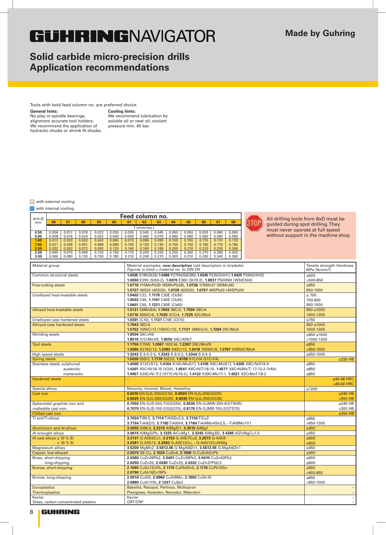## **GUHRINGNAVIGATOR**

## **Solid carbide micro-precision drills Application recommendations**

Tools with bold feed column no. are preferred choice.

**General hints: Cooling hints:** No play in spindle bearings, alignment accurate tool holders. We recommend the application of hydraulic chucks or shrink fit chucks.

We recommend lubrication by soluble oil or neat oil, coolant pressure min. 40 bar.

### $\boxtimes$  with external cooling

### with internal cooling

| drill-Ø |       |       |       |       |       |       | Feed column no. |       |       |       |       |       |       |
|---------|-------|-------|-------|-------|-------|-------|-----------------|-------|-------|-------|-------|-------|-------|
| mm      | 56    | 57    | 58    | 59    | 60    | 61    | 62              | 63    | 64    | 65    | 66    | 67    | 68    |
|         |       |       |       |       |       |       | $(mm$ /rev.)    |       |       |       |       |       |       |
| 0.50    | 0.006 | 0.012 | 0.018 | 0.022 | 0.030 | 0.035 | 0.040           | 0.045 | 0.050 | 0.050 | 0.055 | 0.060 | 0.060 |
| 0.80    | 0.008 | 0.016 | 0.024 | 0.032 | 0.040 | 0.050 | 0.060           | 0.070 | 0.080 | 0.080 | 0.080 | 0.090 | 0.090 |
| 1.00    | 0.012 | 0.022 | 0.032 | 0.042 | 0.060 | 0.070 | 0.080           | 0.090 | 0.100 | 0.100 | 0.110 | 0.110 | 0.120 |
| 1.50    | 0.021 | 0.036 | 0.051 | 0.066 | 0.090 | 0.100 | 0.120           | 0.130 | 0.150 | 0.150 | 0.160 | 0.170 | 0.180 |
| 2.00    | 0.032 | 0.052 | 0.072 | 0.092 | 0.120 | 0.140 | 0.160           | 0.180 | 0.200 | 0.210 | 0.220 | 0.230 | 0.240 |
| 2.50    | 0.045 | 0.070 | 0.095 | 0.120 | 0.150 | 0.170 | 0.200           | 0.220 | 0.250 | 0.260 | 0.270 | 0.280 | 0.300 |
| 3.00    | 0.060 | 0.090 | 0.120 | 0.150 | 0.180 | 0.210 | 0.240           | 0.270 | 0.300 | 0.310 | 0.330 | 0.340 | 0.360 |



All drilling tools from 8xD must be guided during spot drilling. They must never operate at full speed without support in the machine shop

|                                     | <b>3.00</b>   0.000   0.030   0.120   0.130   0.190   0.210   0.240   0.270   0.300   0.310   0.330   0.340   0.300 |                           |
|-------------------------------------|---------------------------------------------------------------------------------------------------------------------|---------------------------|
| Material group                      | Material examples, new description (old description in brackets)                                                    | Tensile strength Hardness |
|                                     | Figures in bold = material no. to DIN EN                                                                            | MPa (N/mm <sup>2</sup> )  |
| Common structural steels            | 1.0035 S185(St33), 1.0486 P275N(StE285), 1.0345 P235GH(H1), 1.0425 P265GH(H2)                                       | $\leq 500$                |
|                                     | 1.0050 E295 (St50-2), 1.0070 E360 (St70-2), 1.8937 P500NH (WStE500)                                                 | $>500-850$                |
| Free-cutting steels                 | 1.0718 11SMnPb30 (9SMnPb28), 1.0736 11SMn37 (9SMn36)                                                                | $≤850$                    |
|                                     | 1.0727 46S20 (45S20), 1.0728 (60S20), 1.0757 46SPb20 (45SPb20)                                                      | 850-1000                  |
| Unalloved heat-treatable steels     | 1.0402 C22, 1.1178 C30E (Ck30)                                                                                      | $\leq 700$                |
|                                     | 1.0503 C45, 1.1191 C45E (Ck45)                                                                                      | 700-850                   |
|                                     | 1.0601 C60, 1.1221 C60E (Ck60)                                                                                      | 850-1000                  |
| Alloyed heat-treatable steels       | 1.5131 50MnSi4, 1.7003 38Cr2, 1.7030 28Cr4                                                                          | $850 \le 1000$            |
|                                     | 1.5710 36NiCr6, 1.7035 41Cr4, 1.7225 42CrMo4                                                                        | 1000-1200                 |
| Unalloyed case hardened steels      | 1.0301 (C10), 1.1121 C10E (Ck10)                                                                                    | $\leq 750$                |
| Alloyed case hardened steels        | 1.7043 38Cr4                                                                                                        | $850 \le 1000$            |
|                                     | 1.5752 15NiCr13 (15NiCr13), 1.7131 16MnCr5, 1.7264 20CrMo5                                                          | 1000-1200                 |
| Nitriding steels                    | 1.8504 34CrAl6                                                                                                      | ≥850 ≤1000                |
|                                     | 1.8519 31CrMoV9, 1.8550 34CrAINi7                                                                                   | >1000-1200                |
| <b>Tool steels</b>                  | 1.1750 C75W, 1.2067 102Cr6, 1.2307 29CrMoV9                                                                         | $≤850$                    |
|                                     | 1.2080 X210Cr12, 1.2083 X42Cr13, 1.2419 105WCr6, 1.2767 X45NiCrMo4                                                  | $>850-1000$               |
| High speed steels                   | 1.3243 S 6-5-2-5, 1.3343 S 6-5-2, 1.3344 S 6-5-3                                                                    | $\geq 650 - 1000$         |
| <b>Spring steels</b>                | 1.5026 55Si7, 1.7176 55Cr3, 1.8159 51CrV4 (51CrV4)                                                                  | $\leq$ 330 HB             |
| Stainless steels, sulphured         | 1.4005 X12CrS13, 1.4104 X14CrMoS17, 1.4105 X6CrMoS17, 1.4305 X8CrNiS18-9                                            | ≤850                      |
| austenitic                          | 1.4301 X5CrNi18-10 (V2A), 1.4541 X6CrNiTi18-10, 1.4571 X6CrNiMoTi 17-12-2 (V4A)                                     | $≤850$                    |
| martensitic                         | 1.4057 X20CrNi 17 2 (X17CrNi16-2), 1.4122 X39CrMo17-1, 1.4521 X2CrMoTi18-2                                          | $≤850$                    |
| <b>Hardened steels</b>              |                                                                                                                     | $\leq$ 40-48 HRC          |
|                                     |                                                                                                                     | >48-60 HRC                |
| Special alloys                      | Nimonic, Inconel, Monel, Hastelloy                                                                                  | $≤1200$                   |
| Cast iron                           | 0.6010 EN-GJL-100(GG10), 0.6020 EN-GJL-200(GG20)                                                                    | $\leq$ 240 HB             |
|                                     | 0.6025 EN-GJL-250(GG25), 0.6035 EN-GJL-350(GG35)                                                                    | $300$ HB                  |
| Spheroidal graphite iron and        | 0.7050 EN-GJS-500-7(GGG50), 0.8035 EN-GJMW-350-4(GTW35)                                                             | $≤240$ HB                 |
| malleable cast iron                 | 0.7070 EN-GJS-700-2(GGG70), 0.8170 EN-GJMB-700-2(GTS70)                                                             | $300$ HB                  |
| Chilled cast iron                   |                                                                                                                     | $\leq$ 350 HB             |
| Ti and Ti-alloys                    | 3.7024 Ti99,5, 3.7114 TiAl5Sn2,5, 3.7124 TiCu2                                                                      | $≤850$                    |
|                                     | 3.7154 TiAl6Zr5, 3.7165 TiAl6V4, 3.7184 TiAl4Mo4Sn2,5, - TiAl8Mo1V1                                                 | $>850-1200$               |
| <b>Aluminium and Al-alloys</b>      | 3.0255 Al99,5, 3.2315 AlMgSi1, 3.3515 AlMg1                                                                         | $≤400$                    |
| Al wrought alloys                   | 3.0615 AIMgSiPb, 3.1325 AICuMg1, 3.3245 AIMg3Si, 3.4365 AIZnMgCu1,5                                                 | $≤450$                    |
| Al cast alloys $\leq 10 \%$ Si      | 3.2131 G-AISi5Cu1, 3.2153 G-AISi7Cu3, 3.2573 G-AISi9                                                                | $≤600$                    |
| $> 10 \%$ Si                        | 3.2581 G-AlSi12, 3.2583 G-AlSi12Cu, - G-AlSi12CuNiMg                                                                | $≤600$                    |
| Magnesium alloys                    | 3.5200 MgMn2, 3.5812.05 G-MgAl8Zn1, 3.5612.05 G-MgAl6Zn1                                                            | $≤450$                    |
| Copper, low-alloyed                 | 2.0070 SE-Cu, 2.1020 CuSn6, 2.1096 G-CuSn5ZnPb                                                                      | $≤400$                    |
| Brass, short-chipping               | 2.0380 CuZn39Pb2, 2.0401 CuZn39Pb3, 2.0410 CuZn43Pb2                                                                | ≤600                      |
| long-chipping                       | 2.0250 CuZn20, 2.0280 CuZn33, 2.0332 CuZn37Pb0,5                                                                    | ≤600                      |
| Bronze, short-chipping              | 2.1090 CuSn7ZnPb, 2.1170 CuPb5Sn5, 2.1176 CuPb10Sn                                                                  | $≤600$                    |
|                                     | 2.0790 CuNi18Zn19Pb                                                                                                 | $>600-850$                |
| Bronze, long-chipping               | 2.0916 CuAl5, 2.0960 CuAl9Mn, 2.1050 CuSn10                                                                         | $≤850$                    |
|                                     | 2.0980 CuAl11Ni, 2.1247 CuBe2                                                                                       | $>850-1000$               |
| <b>Duroplastics</b>                 | Bakelite, Resopal, Pertinax, Moltopren                                                                              | $\qquad \qquad -$         |
| Thermoplastics                      | Plexiglass, Hostalen, Novodur, Makralon                                                                             |                           |
| Kevlar                              | Kevlar                                                                                                              |                           |
| Glass, carbon concentrated plastics | GRT/CRP                                                                                                             | $-$                       |

8 **GUHRING**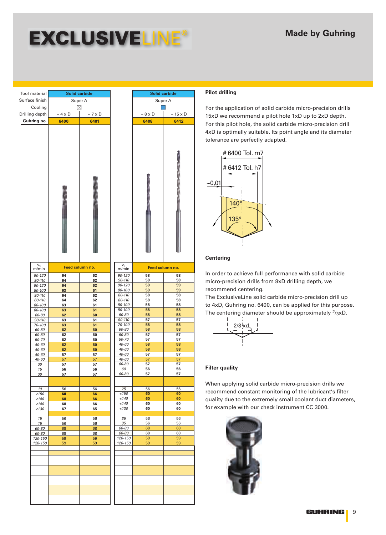| Tool material      |              | <b>Solid carbide</b>     |                       |                   | <b>Solid carbide</b> |
|--------------------|--------------|--------------------------|-----------------------|-------------------|----------------------|
| Surface finish     |              | Super A                  |                       |                   | Super A              |
| Cooling            |              | ⊠                        |                       |                   |                      |
| Drilling depth     | $\sim$ 4 x D | $\sim 7 \times \text{D}$ |                       | $\sim 8 \times D$ | $\sim 15$            |
| Guhring no.        | 6400         | 6401                     |                       | 6408              | 64                   |
|                    |              |                          |                       |                   |                      |
| $V_C$<br>m/min     |              | Feed column no.          | $V_C$<br>m/min        | Feed column no.   |                      |
| 90-120             | 64           | 62                       | 90-120                | 58                | 5                    |
| 90-110             | 64           | 62                       | 90-110                | 58                | 5                    |
| 90-120             | 64<br>63     | 62<br>61                 | 90-120<br>80-100      | 59<br>59          | 5<br>5               |
| 80-100<br>80-110   | 64           | 62                       | 80-110                | 58                | 5                    |
| 80-110             | 64           | 62                       | 80-110                | 58                | 5                    |
| 80-100             | 63           | 61                       | 80-100                | 58                | 5                    |
| 80-100             | 63           | 61                       | 80-100                | 58                | 5                    |
| 60-80              | 62           | 60                       | 60-80                 | 58<br>57          | 5<br>5               |
| 90-110<br>70-100   | 63<br>63     | 61<br>61                 | 90-110<br>70-100      | 58                | 5                    |
| 60-80              | 62           | 60                       | 60-80                 | 58                | 5                    |
| 60-80              | 62           | 60                       | 60-80                 | 57                | 5                    |
| 50-70              | 62           | 60                       | 50-70                 | 57                | 5                    |
| 40-60              | 62           | 60                       | 40-60                 | 58                | 5                    |
| 40-60              | 62           | 60                       | 40-60                 | 58                | 5                    |
| $40 - 60$<br>40-60 | 57           | 57                       | 40-60<br><i>40-60</i> | 57<br>57          | 5<br>5               |
| 30                 | ונ<br>57     | / כ<br>57                | 60-80                 | 57                | 5                    |
| 15                 | 56           | 56                       | 60                    | 56                | 5                    |
| 30                 | 57           | 57                       | 60-80                 | 57                | 5                    |
|                    |              |                          |                       |                   |                      |
| 10                 | 56           | 56                       | 25                    | 56                | 5                    |
| < 150              | 68           | 66                       | < 150                 | 60                | 6                    |
| < 140              | 68           | 66                       | < 140                 | 60                | 6                    |
| < 140              | 68           | 66                       | < 140                 | 60                | 6                    |
| < 130              | 67           | 65                       | < 130                 | 60                | 6                    |
|                    |              |                          | 35                    | 56                | 5                    |
| 15<br>15           | 56<br>56     | 56<br>56                 | 35                    | 56                | 5                    |
| 60-80              | 68           | 68                       | 60-80                 | 68                | $6\phantom{1}6$      |
| 60-80              | 68           | 68                       | 60-80                 | 68                | 6                    |
| 120-150            | 59           | 59                       | 120-150               | 59                | $\overline{5}$       |
| 120-150            | 59           | 59                       | 120-150               | 59                | 5                    |
|                    |              |                          |                       |                   |                      |
|                    |              |                          |                       |                   |                      |

## Super A  $\sim$  15 x D **6408 6412** 90-120 **58 58** 90-110 **58 58** 90-120 **59 59** 80-100 **59 59** 80-110 **58 58** 80-110 **58 58** 80-100 **58 58** 80-100 **58 58** 60-80 **58 58** 90-110 **57 57** 70-100 **58 58** 60-80 **58 58** 60-80 **57 57** 50-70 **57 57** 40-60 **58 58** 40-60 **58 58** 40-60 **57 57** 40-60 57 57 60-80 **57 57** 60 **56 56** 60-80 **57 57** 25 56 56 <150 **60 60** <140 **60 60** <140 **60 60** <130 **60 60** 35 56 56 35 | 56 | 56 60-80 68 68 60-80 68 68 120-150 59 59 120-150 59 59

### **Pilot drilling**

For the application of solid carbide micro-precision drills 15xD we recommend a pilot hole 1xD up to 2xD depth. For this pilot hole, the solid carbide micro-precision drill 4xD is optimally suitable. Its point angle and its diameter tolerance are perfectly adapted.



### **Centering**

In order to achieve full performance with solid carbide micro-precision drills from 8xD drilling depth, we recommend centering.

The ExclusiveLine solid carbide micro-precision drill up to 4xD, Guhring no. 6400, can be applied for this purpose. The centering diameter should be approximately  $2/3xD$ .



### **Filter quality**

When applying solid carbide micro-precision drills we recommend constant monitoring of the lubricant's filter quality due to the extremely small coolant duct diameters, for example with our check instrument CC 3000.

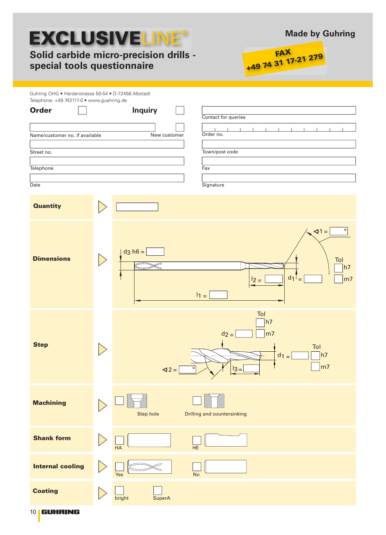## **Solid carbide micro-precision drills special tools questionnaire**





| Guhring OHG . Herderstrasse 50-54 . D-72458 Albstadt<br>Telephone: +49 743117-0 · www.guehring.de |                          |                                                                                                                                            |
|---------------------------------------------------------------------------------------------------|--------------------------|--------------------------------------------------------------------------------------------------------------------------------------------|
| <b>Order</b>                                                                                      |                          | <b>Inquiry</b><br>Contact for queries                                                                                                      |
| Name/customer no. if available                                                                    |                          | Order no.<br>New customer                                                                                                                  |
| Street no.                                                                                        |                          | Town/post code                                                                                                                             |
| Telephone                                                                                         |                          | Fax                                                                                                                                        |
| Date                                                                                              |                          | Signature                                                                                                                                  |
| <b>Quantity</b>                                                                                   |                          |                                                                                                                                            |
| <b>Dimensions</b>                                                                                 | $\bigg. \bigg. \bigg.$   | $\sqrt{1}$<br>$\circ$<br>$dg$ h $6 =$<br>Tol<br>h7<br>$d_1$ =<br>m <sub>7</sub><br>$12 =$<br>$11 =$                                        |
| <b>Step</b>                                                                                       |                          | Tol<br>h7<br>$d_2 =$<br>m <sub>7</sub><br>Tol<br> h7<br>$d_1 =$<br>f<br>m <sub>7</sub><br>$\triangleleft$ 2 =<br>$\frac{13}{1}$<br>$\circ$ |
| <b>Machining</b>                                                                                  |                          | Step hole<br>Drilling and countersinking                                                                                                   |
| <b>Shank form</b>                                                                                 | $\vert$ $\rangle$        | HE<br>HA                                                                                                                                   |
| <b>Internal cooling</b>                                                                           |                          | <b>No</b><br>Yes                                                                                                                           |
| <b>Coating</b>                                                                                    | $\overline{\phantom{0}}$ | bright<br><b>SuperA</b>                                                                                                                    |
| 10   GUHRING                                                                                      |                          |                                                                                                                                            |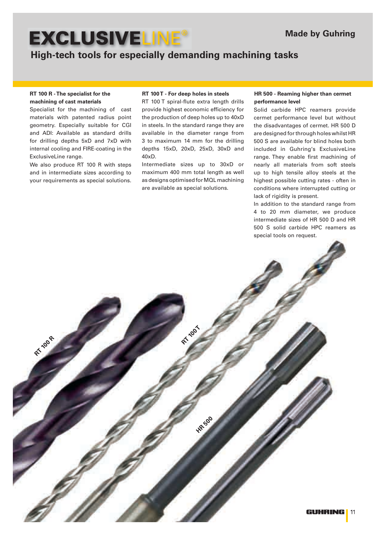## **High-tech tools for especially demanding machining tasks**

### **RT 100 R - The specialist for the machining of cast materials**

Specialist for the machining of cast materials with patented radius point geometry. Especially suitable for CGI and ADI: Available as standard drills for drilling depths 5xD and 7xD with internal cooling and FIRE-coating in the ExclusiveLine range.

We also produce RT 100 R with steps and in intermediate sizes according to your requirements as special solutions.

**RT 100 R**

RT 100 T spiral-flute extra length drills provide highest economic efficiency for the production of deep holes up to 40xD in steels. In the standard range they are available in the diameter range from 3 to maximum 14 mm for the drilling depths 15xD, 20xD, 25xD, 30xD and 40xD.

Intermediate sizes up to 30xD or maximum 400 mm total length as well as designs optimised for MQL machining are available as special solutions.

**RT 100** 

**HR 500** 

### **RT 100 T - For deep holes in steels HR 500 - Reaming higher than cermet performance level**

Solid carbide HPC reamers provide cermet performance level but without the disadvantages of cermet. HR 500 D are designed for through holes whilst HR 500 S are available for blind holes both included in Guhring's ExclusiveLine range. They enable first machining of nearly all materials from soft steels up to high tensile alloy steels at the highest possible cutting rates - often in conditions where interrupted cutting or lack of rigidity is present.

In addition to the standard range from 4 to 20 mm diameter, we produce intermediate sizes of HR 500 D and HR 500 S solid carbide HPC reamers as special tools on request.